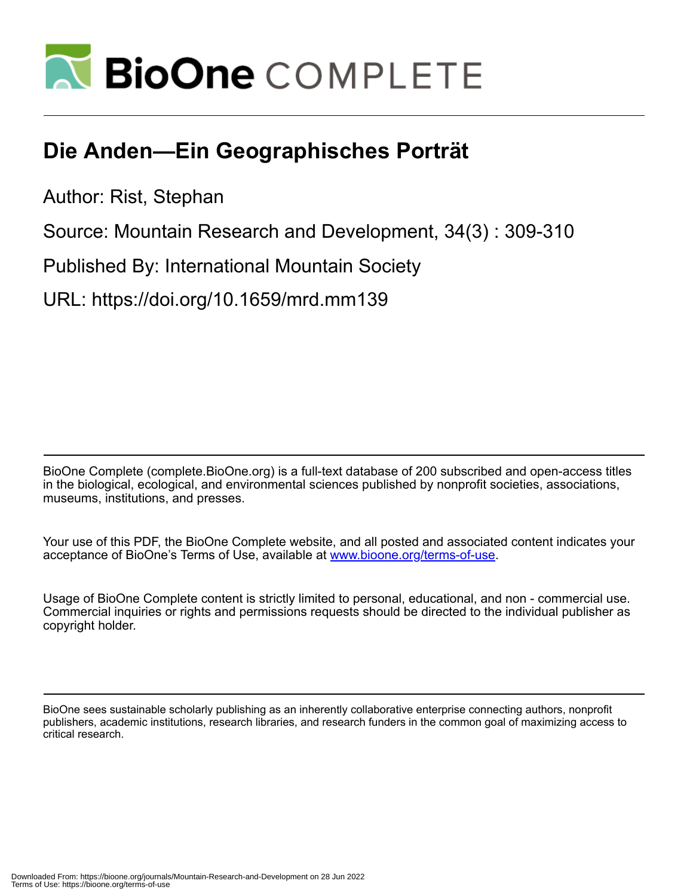

## **Die Anden—Ein Geographisches Porträt**

Author: Rist, Stephan

Source: Mountain Research and Development, 34(3) : 309-310

Published By: International Mountain Society

URL: https://doi.org/10.1659/mrd.mm139

BioOne Complete (complete.BioOne.org) is a full-text database of 200 subscribed and open-access titles in the biological, ecological, and environmental sciences published by nonprofit societies, associations, museums, institutions, and presses.

Your use of this PDF, the BioOne Complete website, and all posted and associated content indicates your acceptance of BioOne's Terms of Use, available at www.bioone.org/terms-of-use.

Usage of BioOne Complete content is strictly limited to personal, educational, and non - commercial use. Commercial inquiries or rights and permissions requests should be directed to the individual publisher as copyright holder.

BioOne sees sustainable scholarly publishing as an inherently collaborative enterprise connecting authors, nonprofit publishers, academic institutions, research libraries, and research funders in the common goal of maximizing access to critical research.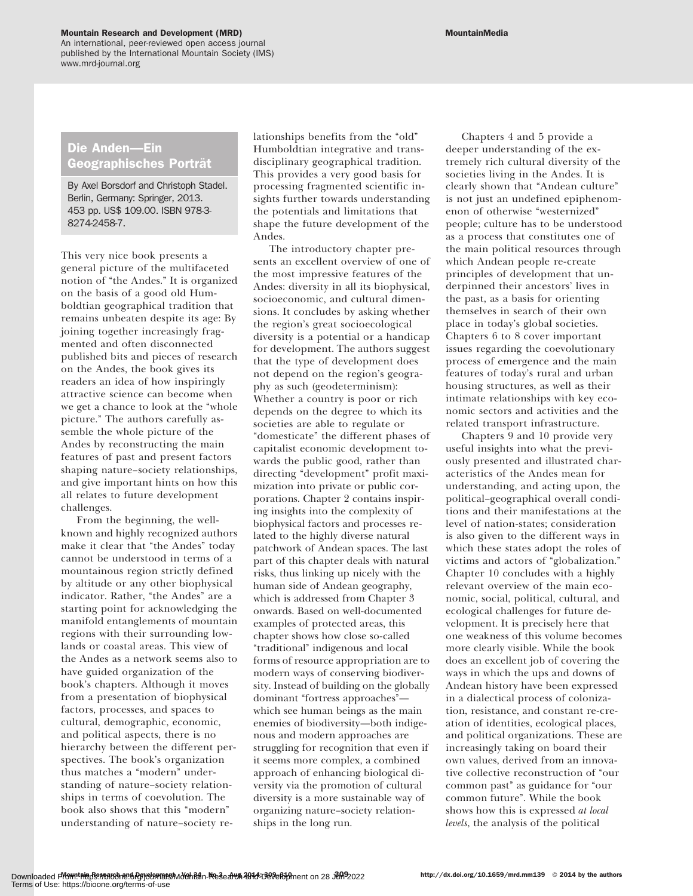## Mountain Research and Development (MRD) and the contract of the contract of the MountainMedia

An international, peer-reviewed open access journal published by the International Mountain Society (IMS) www.mrd-journal.org

## Die Anden—Ein Geographisches Porträt

By Axel Borsdorf and Christoph Stadel. Berlin, Germany: Springer, 2013. 453 pp. US\$ 109.00. ISBN 978-3- 8274-2458-7.

This very nice book presents a general picture of the multifaceted notion of ''the Andes.'' It is organized on the basis of a good old Humboldtian geographical tradition that remains unbeaten despite its age: By joining together increasingly fragmented and often disconnected published bits and pieces of research on the Andes, the book gives its readers an idea of how inspiringly attractive science can become when we get a chance to look at the ''whole picture.'' The authors carefully assemble the whole picture of the Andes by reconstructing the main features of past and present factors shaping nature–society relationships, and give important hints on how this all relates to future development challenges.

From the beginning, the wellknown and highly recognized authors make it clear that "the Andes" today cannot be understood in terms of a mountainous region strictly defined by altitude or any other biophysical indicator. Rather, "the Andes" are a starting point for acknowledging the manifold entanglements of mountain regions with their surrounding lowlands or coastal areas. This view of the Andes as a network seems also to have guided organization of the book's chapters. Although it moves from a presentation of biophysical factors, processes, and spaces to cultural, demographic, economic, and political aspects, there is no hierarchy between the different perspectives. The book's organization thus matches a "modern" understanding of nature–society relationships in terms of coevolution. The book also shows that this "modern" understanding of nature–society relationships benefits from the "old" Humboldtian integrative and transdisciplinary geographical tradition. This provides a very good basis for processing fragmented scientific insights further towards understanding the potentials and limitations that shape the future development of the Andes.

The introductory chapter presents an excellent overview of one of the most impressive features of the Andes: diversity in all its biophysical, socioeconomic, and cultural dimensions. It concludes by asking whether the region's great socioecological diversity is a potential or a handicap for development. The authors suggest that the type of development does not depend on the region's geography as such (geodeterminism): Whether a country is poor or rich depends on the degree to which its societies are able to regulate or ''domesticate'' the different phases of capitalist economic development towards the public good, rather than directing "development" profit maximization into private or public corporations. Chapter 2 contains inspiring insights into the complexity of biophysical factors and processes related to the highly diverse natural patchwork of Andean spaces. The last part of this chapter deals with natural risks, thus linking up nicely with the human side of Andean geography, which is addressed from Chapter 3 onwards. Based on well-documented examples of protected areas, this chapter shows how close so-called ''traditional'' indigenous and local forms of resource appropriation are to modern ways of conserving biodiversity. Instead of building on the globally dominant ''fortress approaches'' which see human beings as the main enemies of biodiversity—both indigenous and modern approaches are struggling for recognition that even if it seems more complex, a combined approach of enhancing biological diversity via the promotion of cultural diversity is a more sustainable way of organizing nature–society relationships in the long run.

Chapters 4 and 5 provide a deeper understanding of the extremely rich cultural diversity of the societies living in the Andes. It is clearly shown that "Andean culture" is not just an undefined epiphenomenon of otherwise "westernized" people; culture has to be understood as a process that constitutes one of the main political resources through which Andean people re-create principles of development that underpinned their ancestors' lives in the past, as a basis for orienting themselves in search of their own place in today's global societies. Chapters 6 to 8 cover important issues regarding the coevolutionary process of emergence and the main features of today's rural and urban housing structures, as well as their intimate relationships with key economic sectors and activities and the related transport infrastructure.

Chapters 9 and 10 provide very useful insights into what the previously presented and illustrated characteristics of the Andes mean for understanding, and acting upon, the political–geographical overall conditions and their manifestations at the level of nation-states; consideration is also given to the different ways in which these states adopt the roles of victims and actors of "globalization." Chapter 10 concludes with a highly relevant overview of the main economic, social, political, cultural, and ecological challenges for future development. It is precisely here that one weakness of this volume becomes more clearly visible. While the book does an excellent job of covering the ways in which the ups and downs of Andean history have been expressed in a dialectical process of colonization, resistance, and constant re-creation of identities, ecological places, and political organizations. These are increasingly taking on board their own values, derived from an innovative collective reconstruction of ''our common past'' as guidance for ''our common future''. While the book shows how this is expressed at local levels, the analysis of the political